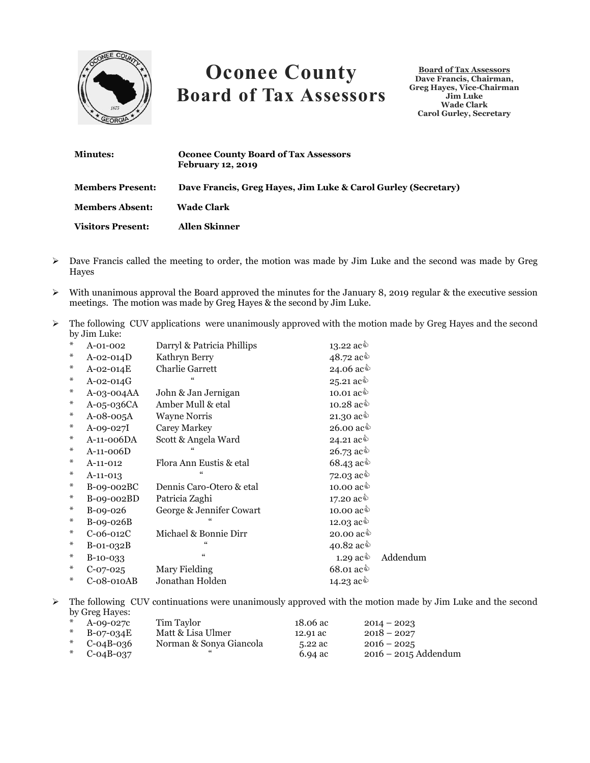

## **Oconee County Board of Tax Assessors**

**Board of Tax Assessors Dave Francis, Chairman, Greg Hayes, Vice-Chairman Jim Luke Wade Clark Carol Gurley, Secretary**

| <b>Minutes:</b>          | <b>Oconee County Board of Tax Assessors</b><br><b>February 12, 2019</b> |
|--------------------------|-------------------------------------------------------------------------|
| <b>Members Present:</b>  | Dave Francis, Greg Hayes, Jim Luke & Carol Gurley (Secretary)           |
| <b>Members Absent:</b>   | Wade Clark                                                              |
| <b>Visitors Present:</b> | <b>Allen Skinner</b>                                                    |

- $\triangleright$  Dave Francis called the meeting to order, the motion was made by Jim Luke and the second was made by Greg Hayes
- $\triangleright$  With unanimous approval the Board approved the minutes for the January 8, 2019 regular & the executive session meetings. The motion was made by Greg Hayes & the second by Jim Luke.
- > The following CUV applications were unanimously approved with the motion made by Greg Hayes and the second by Jim Luke:

| $\ast$ | $A-01-002$      | Darryl & Patricia Phillips | 13.22 $ac\hat{ }$                           |          |
|--------|-----------------|----------------------------|---------------------------------------------|----------|
| ₩      | $A-02-014D$     | Kathryn Berry              | 48.72 ac <sup><math>\Diamond</math></sup>   |          |
| ₩      | $A - 02 - 014E$ | <b>Charlie Garrett</b>     | 24.06 ac ♦                                  |          |
| ₩      | $A-02-014G$     |                            | 25.21 ac $\grave{\Phi}$                     |          |
| $\ast$ | $A-03-004AA$    | John & Jan Jernigan        | 10.01 $ac\hat{\mathbb{Q}}$                  |          |
| ₩      | $A-05-036CA$    | Amber Mull & etal          | 10.28 ac <sup><math>\Diamond</math></sup>   |          |
| $\ast$ | $A-08-005A$     | <b>Wayne Norris</b>        | 21.30 $ac\hat{\phi}$                        |          |
| ₩      | $A-09-027I$     | Carey Markey               | 26.00 $ac\hat{ }$                           |          |
| ₩      | A-11-006DA      | Scott & Angela Ward        | 24.21 ac $\hat{\mathbb{Q}}$                 |          |
| ₩      | A-11-006D       |                            | 26.73 ac $\hat{\mathbb{Q}}$                 |          |
| $\ast$ | A-11-012        | Flora Ann Eustis & etal    | $68.43$ ac <sup><math>\Diamond</math></sup> |          |
| $\ast$ | $A-11-013$      |                            | 72.03 ac $\hat{\mathbb{Q}}$                 |          |
| ₩      | B-09-002BC      | Dennis Caro-Otero & etal   | 10.00 $ac\hat{\mathbb{Q}}$                  |          |
| ₩      | B-09-002BD      | Patricia Zaghi             | 17.20 ac <sup><math>\Diamond</math></sup>   |          |
| $\ast$ | B-09-026        | George & Jennifer Cowart   | 10.00 $ac\hat{\mathbb{Q}}$                  |          |
| $\ast$ | $B-09-026B$     |                            | 12.03 $ac\hat{\phi}$                        |          |
| $\ast$ | $C-06-012C$     | Michael & Bonnie Dirr      | 20.00 $ac\hat{\mathbb{Q}}$                  |          |
| $\ast$ | $B$ -01-032 $B$ | $\epsilon$                 | 40.82 $ac\hat{\phi}$                        |          |
| $\ast$ | $B-10-0.33$     | $\epsilon$                 | 1.29 $ac\hat{\phi}$                         | Addendum |
| ₩      | $C-07-025$      | Mary Fielding              | $68.01$ ac $\grave{\Phi}$                   |          |
| ⋇      | C-08-010AB      | Jonathan Holden            | 14.23 $ac\hat{ }$                           |          |

 $\triangleright$  The following CUV continuations were unanimously approved with the motion made by Jim Luke and the second by Greg Hayes:

| $*$ A-09-0270  | Tim Taylor              | 18.06 ac | $2014 - 2023$          |
|----------------|-------------------------|----------|------------------------|
| * $B-07-034E$  | Matt & Lisa Ulmer       | 12.91 ac | $2018 - 2027$          |
| * $C$ -04B-036 | Norman & Sonya Giancola | 5.22 ac  | $2016 - 2025$          |
| * $C$ -04B-037 |                         | 6.94 ac  | $2016 - 2015$ Addendum |